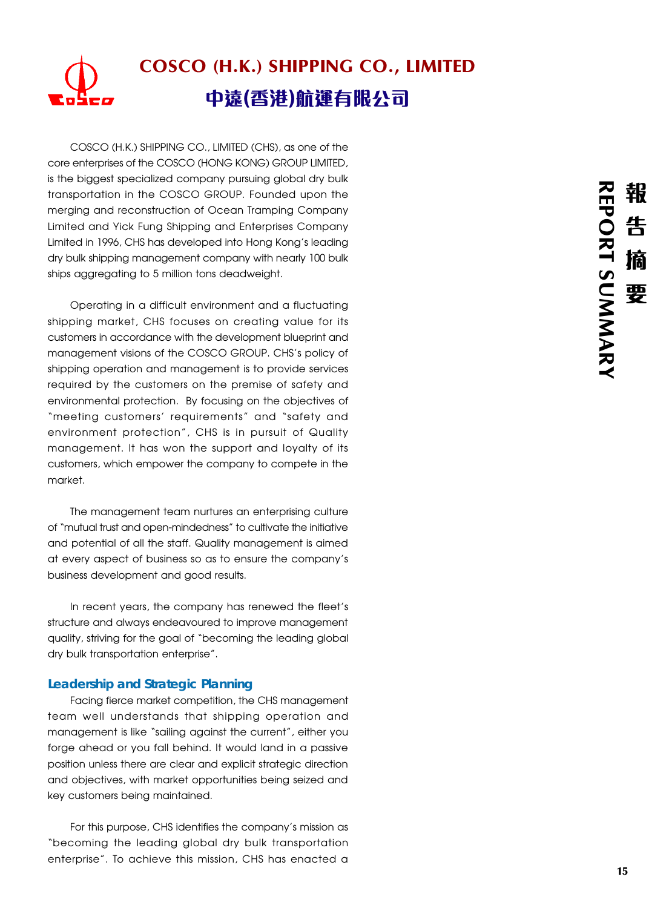# COSCO (H.K.) SHIPPING CO., LIMITED 中遠(香港)航運有限公司

COSCO (H.K.) SHIPPING CO., LIMITED (CHS), as one of the core enterprises of the COSCO (HONG KONG) GROUP LIMITED, is the biggest specialized company pursuing global dry bulk transportation in the COSCO GROUP. Founded upon the merging and reconstruction of Ocean Tramping Company Limited and Yick Fung Shipping and Enterprises Company Limited in 1996, CHS has developed into Hong Kong's leading dry bulk shipping management company with nearly 100 bulk ships aggregating to 5 million tons deadweight.

Operating in a difficult environment and a fluctuating shipping market, CHS focuses on creating value for its customers in accordance with the development blueprint and management visions of the COSCO GROUP. CHS's policy of shipping operation and management is to provide services required by the customers on the premise of safety and environmental protection. By focusing on the objectives of "meeting customers' requirements" and "safety and environment protection", CHS is in pursuit of Quality management. It has won the support and loyalty of its customers, which empower the company to compete in the market.

The management team nurtures an enterprising culture of "mutual trust and open-mindedness" to cultivate the initiative and potential of all the staff. Quality management is aimed at every aspect of business so as to ensure the company's business development and good results.

In recent years, the company has renewed the fleet's structure and always endeavoured to improve management quality, striving for the goal of "becoming the leading global dry bulk transportation enterprise".

# **Leadership and Strategic Planning**

Facing fierce market competition, the CHS management team well understands that shipping operation and management is like "sailing against the current", either you forge ahead or you fall behind. It would land in a passive position unless there are clear and explicit strategic direction and objectives, with market opportunities being seized and key customers being maintained.

For this purpose, CHS identifies the company's mission as "becoming the leading global dry bulk transportation enterprise". To achieve this mission, CHS has enacted a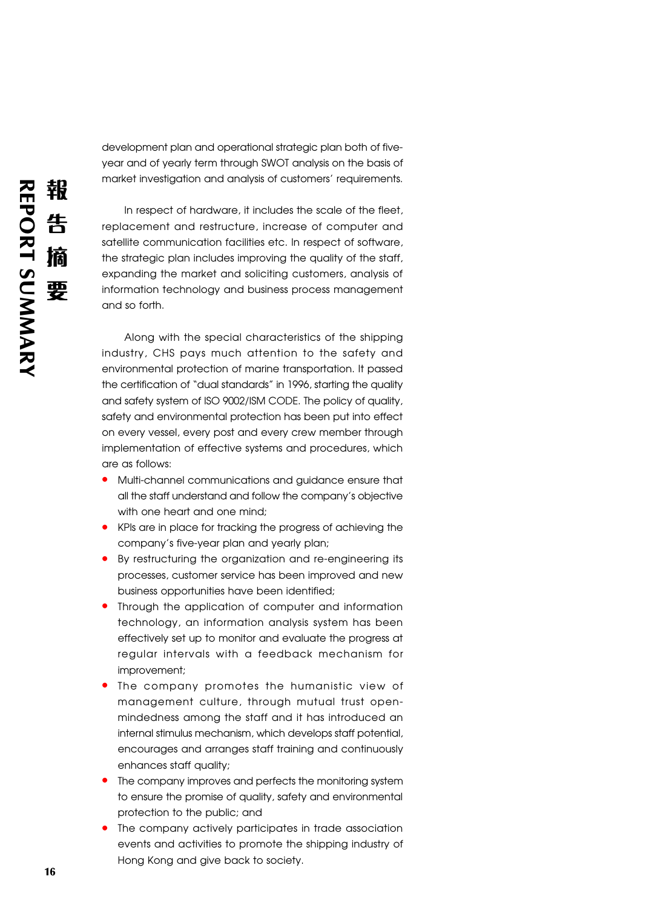development plan and operational strategic plan both of fiveyear and of yearly term through SWOT analysis on the basis of market investigation and analysis of customers' requirements.

In respect of hardware, it includes the scale of the fleet, replacement and restructure, increase of computer and satellite communication facilities etc. In respect of software, the strategic plan includes improving the quality of the staff, expanding the market and soliciting customers, analysis of information technology and business process management and so forth.

Along with the special characteristics of the shipping industry, CHS pays much attention to the safety and environmental protection of marine transportation. It passed the certification of "dual standards" in 1996, starting the quality and safety system of ISO 9002/ISM CODE. The policy of quality, safety and environmental protection has been put into effect on every vessel, every post and every crew member through implementation of effective systems and procedures, which are as follows:

- **•** Multi-channel communications and guidance ensure that all the staff understand and follow the company's objective with one heart and one mind;
- **•** KPIs are in place for tracking the progress of achieving the company's five-year plan and yearly plan;
- **•** By restructuring the organization and re-engineering its processes, customer service has been improved and new business opportunities have been identified;
- **•** Through the application of computer and information technology, an information analysis system has been effectively set up to monitor and evaluate the progress at regular intervals with a feedback mechanism for improvement;
- **•** The company promotes the humanistic view of management culture, through mutual trust openmindedness among the staff and it has introduced an internal stimulus mechanism, which develops staff potential, encourages and arranges staff training and continuously enhances staff quality;
- **•** The company improves and perfects the monitoring system to ensure the promise of quality, safety and environmental protection to the public; and
- **•** The company actively participates in trade association events and activities to promote the shipping industry of Hong Kong and give back to society.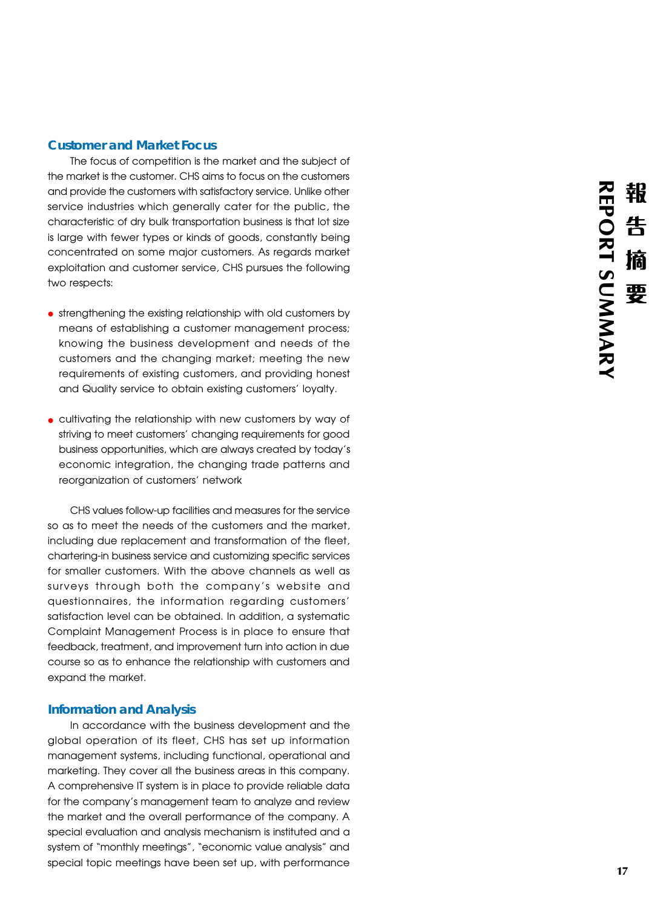### **Customer and Market Focus**

The focus of competition is the market and the subject of the market is the customer. CHS aims to focus on the customers and provide the customers with satisfactory service. Unlike other service industries which generally cater for the public, the characteristic of dry bulk transportation business is that lot size is large with fewer types or kinds of goods, constantly being concentrated on some major customers. As regards market exploitation and customer service, CHS pursues the following two respects:

- **•** strengthening the existing relationship with old customers by means of establishing a customer management process; knowing the business development and needs of the customers and the changing market; meeting the new requirements of existing customers, and providing honest and Quality service to obtain existing customers' loyalty.
- **•** cultivating the relationship with new customers by way of striving to meet customers' changing requirements for good business opportunities, which are always created by today's economic integration, the changing trade patterns and reorganization of customers' network

CHS values follow-up facilities and measures for the service so as to meet the needs of the customers and the market, including due replacement and transformation of the fleet, chartering-in business service and customizing specific services for smaller customers. With the above channels as well as surveys through both the company's website and questionnaires, the information regarding customers' satisfaction level can be obtained. In addition, a systematic Complaint Management Process is in place to ensure that feedback, treatment, and improvement turn into action in due course so as to enhance the relationship with customers and expand the market.

### **Information and Analysis**

In accordance with the business development and the global operation of its fleet, CHS has set up information management systems, including functional, operational and marketing. They cover all the business areas in this company. A comprehensive IT system is in place to provide reliable data for the company's management team to analyze and review the market and the overall performance of the company. A special evaluation and analysis mechanism is instituted and a system of "monthly meetings", "economic value analysis" and special topic meetings have been set up, with performance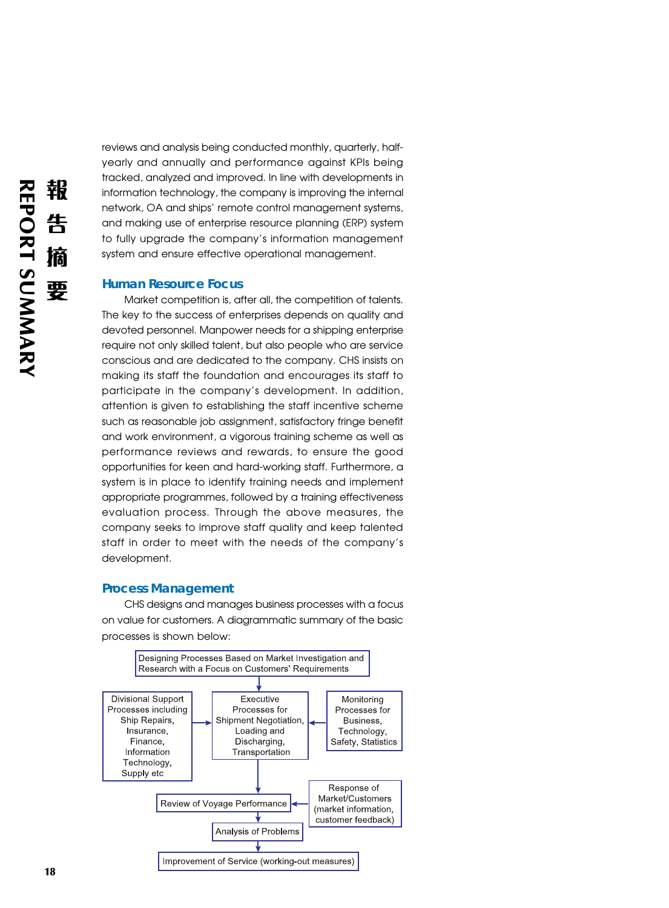reviews and analysis being conducted monthly, quarterly, halfyearly and annually and performance against KPIs being tracked, analyzed and improved. In line with developments in information technology, the company is improving the internal network, OA and ships' remote control management systems, and making use of enterprise resource planning (ERP) system to fully upgrade the company's information management system and ensure effective operational management.

#### **Human Resource Focus**

Market competition is, after all, the competition of talents. The key to the success of enterprises depends on quality and devoted personnel. Manpower needs for a shipping enterprise require not only skilled talent, but also people who are service conscious and are dedicated to the company. CHS insists on making its staff the foundation and encourages its staff to participate in the company's development. In addition, attention is given to establishing the staff incentive scheme such as reasonable job assignment, satisfactory fringe benefit and work environment, a vigorous training scheme as well as performance reviews and rewards, to ensure the good opportunities for keen and hard-working staff. Furthermore, a system is in place to identify training needs and implement appropriate programmes, followed by a training effectiveness evaluation process. Through the above measures, the company seeks to improve staff quality and keep talented staff in order to meet with the needs of the company's development.

#### **Process Management**

CHS designs and manages business processes with a focus on value for customers. A diagrammatic summary of the basic processes is shown below: